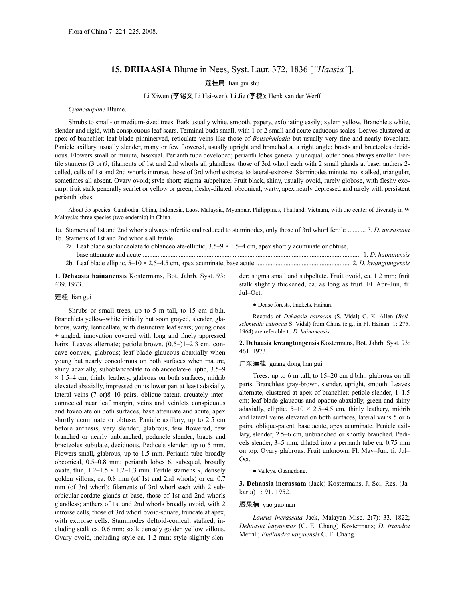# **15. DEHAASIA** Blume in Nees, Syst. Laur. 372. 1836 [*"Haasia"*].

莲桂属 lian gui shu

## Li Xiwen (李锡文 Li Hsi-wen), Li Jie (李捷); Henk van der Werff

#### *Cyanodaphne* Blume.

Shrubs to small- or medium-sized trees. Bark usually white, smooth, papery, exfoliating easily; xylem yellow. Branchlets white, slender and rigid, with conspicuous leaf scars. Terminal buds small, with 1 or 2 small and acute caducous scales. Leaves clustered at apex of branchlet; leaf blade pinninerved, reticulate veins like those of *Beilschmiedia* but usually very fine and nearly foveolate. Panicle axillary, usually slender, many or few flowered, usually upright and branched at a right angle; bracts and bracteoles deciduous. Flowers small or minute, bisexual. Perianth tube developed; perianth lobes generally unequal, outer ones always smaller. Fertile stamens (3 or)9; filaments of 1st and 2nd whorls all glandless, those of 3rd whorl each with 2 small glands at base; anthers 2celled, cells of 1st and 2nd whorls introrse, those of 3rd whorl extrorse to lateral-extrorse. Staminodes minute, not stalked, triangular, sometimes all absent. Ovary ovoid; style short; stigma subpeltate. Fruit black, shiny, usually ovoid, rarely globose, with fleshy exocarp; fruit stalk generally scarlet or yellow or green, fleshy-dilated, obconical, warty, apex nearly depressed and rarely with persistent perianth lobes.

About 35 species: Cambodia, China, Indonesia, Laos, Malaysia, Myanmar, Philippines, Thailand, Vietnam, with the center of diversity in W Malaysia; three species (two endemic) in China.

1a. Stamens of 1st and 2nd whorls always infertile and reduced to staminodes, only those of 3rd whorl fertile ........... 3. *D. incrassata* 1b. Stamens of 1st and 2nd whorls all fertile.

- 2a. Leaf blade sublanceolate to oblanceolate-elliptic,  $3.5-9 \times 1.5-4$  cm, apex shortly acuminate or obtuse, base attenuate and acute ..................................................................................................................................... 1. *D. hainanensis*
- 2b. Leaf blade elliptic, 5–10 × 2.5–4.5 cm, apex acuminate, base acute .......................................................... 2. *D. kwangtungensis*

**1. Dehaasia hainanensis** Kostermans, Bot. Jahrb. Syst. 93: 439. 1973.

## 莲桂 lian gui

Shrubs or small trees, up to 5 m tall, to 15 cm d.b.h. Branchlets yellow-white initially but soon grayed, slender, glabrous, warty, lenticellate, with distinctive leaf scars; young ones  $\pm$  angled; innovation covered with long and finely appressed hairs. Leaves alternate; petiole brown,  $(0.5–)1–2.3$  cm, concave-convex, glabrous; leaf blade glaucous abaxially when young but nearly concolorous on both surfaces when mature, shiny adaxially, suboblanceolate to oblanceolate-elliptic, 3.5–9  $\times$  1.5–4 cm, thinly leathery, glabrous on both surfaces, midrib elevated abaxially, impressed on its lower part at least adaxially, lateral veins (7 or)8–10 pairs, oblique-patent, arcuately interconnected near leaf margin, veins and veinlets conspicuous and foveolate on both surfaces, base attenuate and acute, apex shortly acuminate or obtuse. Panicle axillary, up to 2.5 cm before anthesis, very slender, glabrous, few flowered, few branched or nearly unbranched; peduncle slender; bracts and bracteoles subulate, deciduous. Pedicels slender, up to 5 mm. Flowers small, glabrous, up to 1.5 mm. Perianth tube broadly obconical, 0.5–0.8 mm; perianth lobes 6, subequal, broadly ovate, thin,  $1.2-1.5 \times 1.2-1.3$  mm. Fertile stamens 9, densely golden villous, ca. 0.8 mm (of 1st and 2nd whorls) or ca. 0.7 mm (of 3rd whorl); filaments of 3rd whorl each with 2 suborbicular-cordate glands at base, those of 1st and 2nd whorls glandless; anthers of 1st and 2nd whorls broadly ovoid, with 2 introrse cells, those of 3rd whorl ovoid-square, truncate at apex, with extrorse cells. Staminodes deltoid-conical, stalked, including stalk ca. 0.6 mm; stalk densely golden yellow villous. Ovary ovoid, including style ca. 1.2 mm; style slightly slender; stigma small and subpeltate. Fruit ovoid, ca. 1.2 mm; fruit stalk slightly thickened, ca. as long as fruit. Fl. Apr–Jun, fr. Jul–Oct.

● Dense forests, thickets. Hainan.

Records of *Dehaasia cairocan* (S. Vidal) C. K. Allen (*Beilschmiedia cairocan* S. Vidal) from China (e.g., in Fl. Hainan. 1: 275. 1964) are referable to *D. hainanensis*.

**2. Dehaasia kwangtungensis** Kostermans, Bot. Jahrb. Syst. 93: 461. 1973.

## 广东莲桂 guang dong lian gui

Trees, up to 6 m tall, to 15–20 cm d.b.h., glabrous on all parts. Branchlets gray-brown, slender, upright, smooth. Leaves alternate, clustered at apex of branchlet; petiole slender, 1–1.5 cm; leaf blade glaucous and opaque abaxially, green and shiny adaxially, elliptic,  $5-10 \times 2.5-4.5$  cm, thinly leathery, midrib and lateral veins elevated on both surfaces, lateral veins 5 or 6 pairs, oblique-patent, base acute, apex acuminate. Panicle axillary, slender, 2.5–6 cm, unbranched or shortly branched. Pedicels slender, 3–5 mm, dilated into a perianth tube ca. 0.75 mm on top. Ovary glabrous. Fruit unknown. Fl. May–Jun, fr. Jul– Oct.

● Valleys. Guangdong.

**3. Dehaasia incrassata** (Jack) Kostermans, J. Sci. Res. (Jakarta) 1: 91. 1952.

## 腰果楠 yao guo nan

*Laurus incrassata* Jack, Malayan Misc. 2(7): 33. 1822; *Dehaasia lanyuensis* (C. E. Chang) Kostermans; *D. triandra* Merrill; *Endiandra lanyuensis* C. E. Chang.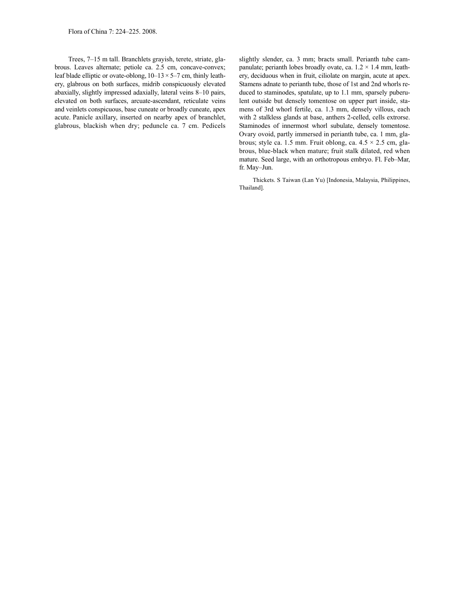Trees, 7–15 m tall. Branchlets grayish, terete, striate, glabrous. Leaves alternate; petiole ca. 2.5 cm, concave-convex; leaf blade elliptic or ovate-oblong,  $10-13 \times 5-7$  cm, thinly leathery, glabrous on both surfaces, midrib conspicuously elevated abaxially, slightly impressed adaxially, lateral veins 8–10 pairs, elevated on both surfaces, arcuate-ascendant, reticulate veins and veinlets conspicuous, base cuneate or broadly cuneate, apex acute. Panicle axillary, inserted on nearby apex of branchlet, glabrous, blackish when dry; peduncle ca. 7 cm. Pedicels slightly slender, ca. 3 mm; bracts small. Perianth tube campanulate; perianth lobes broadly ovate, ca.  $1.2 \times 1.4$  mm, leathery, deciduous when in fruit, ciliolate on margin, acute at apex. Stamens adnate to perianth tube, those of 1st and 2nd whorls reduced to staminodes, spatulate, up to 1.1 mm, sparsely puberulent outside but densely tomentose on upper part inside, stamens of 3rd whorl fertile, ca. 1.3 mm, densely villous, each with 2 stalkless glands at base, anthers 2-celled, cells extrorse. Staminodes of innermost whorl subulate, densely tomentose. Ovary ovoid, partly immersed in perianth tube, ca. 1 mm, glabrous; style ca. 1.5 mm. Fruit oblong, ca.  $4.5 \times 2.5$  cm, glabrous, blue-black when mature; fruit stalk dilated, red when mature. Seed large, with an orthotropous embryo. Fl. Feb–Mar, fr. May–Jun.

Thickets. S Taiwan (Lan Yu) [Indonesia, Malaysia, Philippines, Thailand].